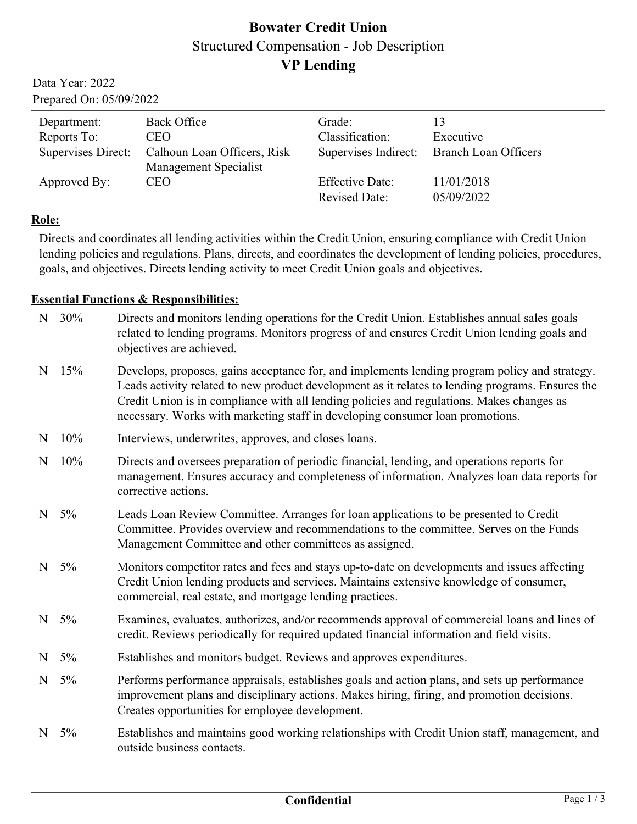# **Bowater Credit Union** Structured Compensation - Job Description **VP Lending**

Data Year: 2022 Prepared On: 05/09/2022

| Department:  | <b>Back Office</b>                             | Grade:                 |                                           |
|--------------|------------------------------------------------|------------------------|-------------------------------------------|
| Reports To:  | CEO.                                           | Classification:        | Executive                                 |
|              | Supervises Direct: Calhoun Loan Officers, Risk |                        | Supervises Indirect: Branch Loan Officers |
|              | Management Specialist                          |                        |                                           |
| Approved By: | <b>CEO</b>                                     | <b>Effective Date:</b> | 11/01/2018                                |
|              |                                                | <b>Revised Date:</b>   | 05/09/2022                                |

### **Role:**

Directs and coordinates all lending activities within the Credit Union, ensuring compliance with Credit Union lending policies and regulations. Plans, directs, and coordinates the development of lending policies, procedures, goals, and objectives. Directs lending activity to meet Credit Union goals and objectives.

### **Essential Functions & Responsibilities:**

|           | N 30%   | Directs and monitors lending operations for the Credit Union. Establishes annual sales goals<br>related to lending programs. Monitors progress of and ensures Credit Union lending goals and<br>objectives are achieved.                                                                                                                                                        |
|-----------|---------|---------------------------------------------------------------------------------------------------------------------------------------------------------------------------------------------------------------------------------------------------------------------------------------------------------------------------------------------------------------------------------|
|           | $N$ 15% | Develops, proposes, gains acceptance for, and implements lending program policy and strategy.<br>Leads activity related to new product development as it relates to lending programs. Ensures the<br>Credit Union is in compliance with all lending policies and regulations. Makes changes as<br>necessary. Works with marketing staff in developing consumer loan promotions. |
| N         | 10%     | Interviews, underwrites, approves, and closes loans.                                                                                                                                                                                                                                                                                                                            |
|           | $N$ 10% | Directs and oversees preparation of periodic financial, lending, and operations reports for<br>management. Ensures accuracy and completeness of information. Analyzes loan data reports for<br>corrective actions.                                                                                                                                                              |
| N         | $5\%$   | Leads Loan Review Committee. Arranges for loan applications to be presented to Credit<br>Committee. Provides overview and recommendations to the committee. Serves on the Funds<br>Management Committee and other committees as assigned.                                                                                                                                       |
|           | N $5%$  | Monitors competitor rates and fees and stays up-to-date on developments and issues affecting<br>Credit Union lending products and services. Maintains extensive knowledge of consumer,<br>commercial, real estate, and mortgage lending practices.                                                                                                                              |
| $N_{\rm}$ | 5%      | Examines, evaluates, authorizes, and/or recommends approval of commercial loans and lines of<br>credit. Reviews periodically for required updated financial information and field visits.                                                                                                                                                                                       |
| N         | $5\%$   | Establishes and monitors budget. Reviews and approves expenditures.                                                                                                                                                                                                                                                                                                             |
|           | N $5%$  | Performs performance appraisals, establishes goals and action plans, and sets up performance<br>improvement plans and disciplinary actions. Makes hiring, firing, and promotion decisions.<br>Creates opportunities for employee development.                                                                                                                                   |
|           | $N$ 5%  | Establishes and maintains good working relationships with Credit Union staff, management, and<br>outside business contacts.                                                                                                                                                                                                                                                     |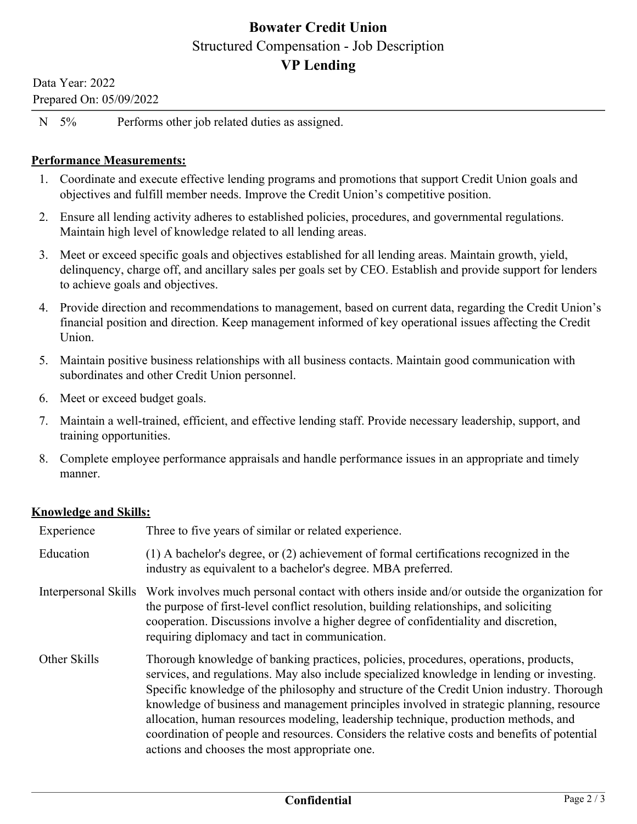## **Bowater Credit Union** Structured Compensation - Job Description **VP Lending**

Data Year: 2022 Prepared On: 05/09/2022

N 5% Performs other job related duties as assigned.

### **Performance Measurements:**

- 1. Coordinate and execute effective lending programs and promotions that support Credit Union goals and objectives and fulfill member needs. Improve the Credit Union's competitive position.
- 2. Ensure all lending activity adheres to established policies, procedures, and governmental regulations. Maintain high level of knowledge related to all lending areas.
- 3. Meet or exceed specific goals and objectives established for all lending areas. Maintain growth, yield, delinquency, charge off, and ancillary sales per goals set by CEO. Establish and provide support for lenders to achieve goals and objectives.
- 4. Provide direction and recommendations to management, based on current data, regarding the Credit Union's financial position and direction. Keep management informed of key operational issues affecting the Credit Union.
- 5. Maintain positive business relationships with all business contacts. Maintain good communication with subordinates and other Credit Union personnel.
- 6. Meet or exceed budget goals.
- 7. Maintain a well-trained, efficient, and effective lending staff. Provide necessary leadership, support, and training opportunities.
- 8. Complete employee performance appraisals and handle performance issues in an appropriate and timely manner.

### **Knowledge and Skills:**

| Experience   | Three to five years of similar or related experience.                                                                                                                                                                                                                                                                                                                                                                                                                                                                                                                                                               |  |
|--------------|---------------------------------------------------------------------------------------------------------------------------------------------------------------------------------------------------------------------------------------------------------------------------------------------------------------------------------------------------------------------------------------------------------------------------------------------------------------------------------------------------------------------------------------------------------------------------------------------------------------------|--|
| Education    | $(1)$ A bachelor's degree, or $(2)$ achievement of formal certifications recognized in the<br>industry as equivalent to a bachelor's degree. MBA preferred.                                                                                                                                                                                                                                                                                                                                                                                                                                                         |  |
|              | Interpersonal Skills Work involves much personal contact with others inside and/or outside the organization for<br>the purpose of first-level conflict resolution, building relationships, and soliciting<br>cooperation. Discussions involve a higher degree of confidentiality and discretion,<br>requiring diplomacy and tact in communication.                                                                                                                                                                                                                                                                  |  |
| Other Skills | Thorough knowledge of banking practices, policies, procedures, operations, products,<br>services, and regulations. May also include specialized knowledge in lending or investing.<br>Specific knowledge of the philosophy and structure of the Credit Union industry. Thorough<br>knowledge of business and management principles involved in strategic planning, resource<br>allocation, human resources modeling, leadership technique, production methods, and<br>coordination of people and resources. Considers the relative costs and benefits of potential<br>actions and chooses the most appropriate one. |  |